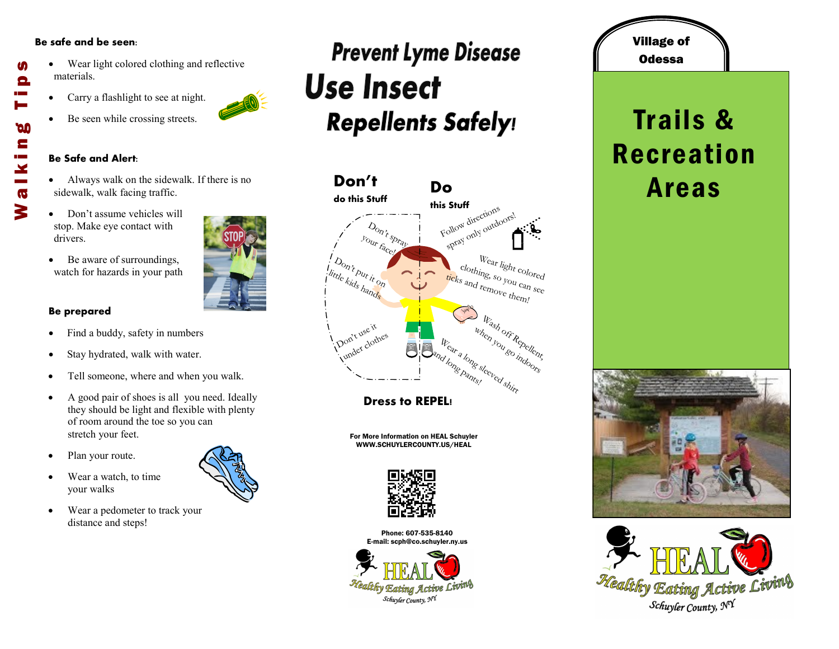#### **Be safe and be seen:**

- Wear light colored clothing and reflective materials.
- Carry a flashlight to see at night.
- Be seen while crossing streets.

#### **Be Safe and Alert:**

- Always walk on the sidewalk. If there is no sidewalk, walk facing traffic.
- Don't assume vehicles will stop. Make eye contact with drivers.
- Be aware of surroundings, watch for hazards in your path

### **Be prepared**

- Find a buddy, safety in numbers
- Stay hydrated, walk with water.
- Tell someone, where and when you walk.
- A good pair of shoes is all you need. Ideally they should be light and flexible with plenty of room around the toe so you can stretch your feet.
- Plan your route.
- Wear a watch, to time your walks
- Wear a pedometer to track your distance and steps!

# **Prevent Lyme Disease Use Insect Repellents Safely!**



**Dress to REPEL!**

For More Information on HEAL Schuyler WWW.SCHUYLERCOUNTY.US/HEAL



Phone: 607-535-8140 E-mail: scph@co.schuyler.ny.us



## Village of **Odessa**

## Trails & Recreation Areas









M

Θ

**DO** E